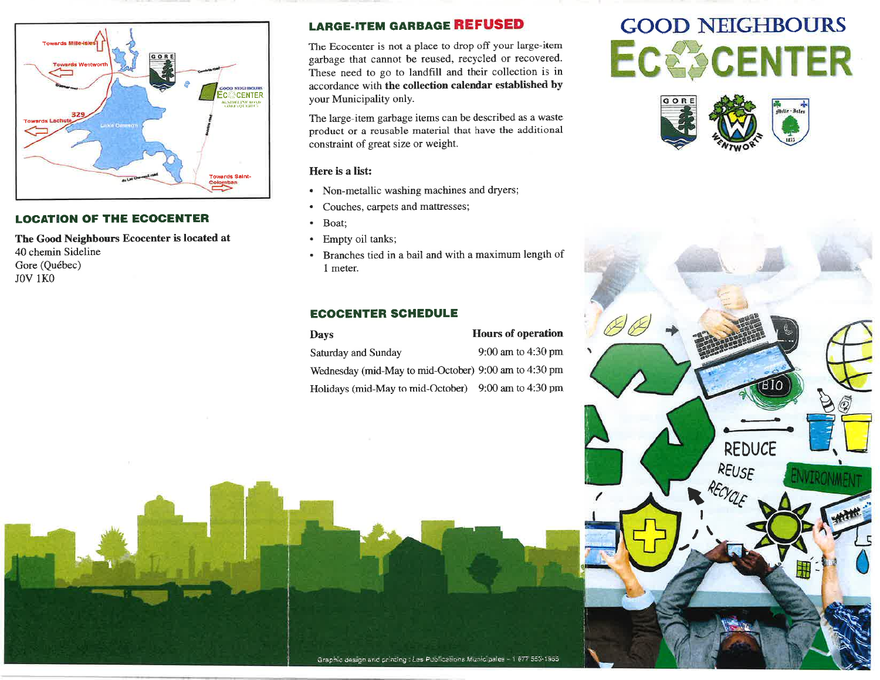

### **LOCATION OF THE ECOCENTER**

The Good Neighbours Ecocenter is located at 40 chemin Sideline Gore (Québec) **JOV 1KO** 

# **LARGE-ITEM GARBAGE REFUSED**

The Ecocenter is not a place to drop off your large-item garbage that cannot be reused, recycled or recovered. These need to go to landfill and their collection is in accordance with the collection calendar established by your Municipality only.

The large-item garbage items can be described as a waste product or a reusable material that have the additional constraint of great size or weight.

### Here is a list:

- Non-metallic washing machines and dryers;
- Couches, carpets and mattresses;  $\bullet$
- Boat;  $\bullet$
- Empty oil tanks;
- Branches tied in a bail and with a maximum length of  $\bullet$ 1 meter.

## **ECOCENTER SCHEDULE**

**Hours of operation Days** Saturday and Sunday 9:00 am to 4:30 pm Wednesday (mid-May to mid-October) 9:00 am to 4:30 pm Holidays (mid-May to mid-October) 9:00 am to 4:30 pm